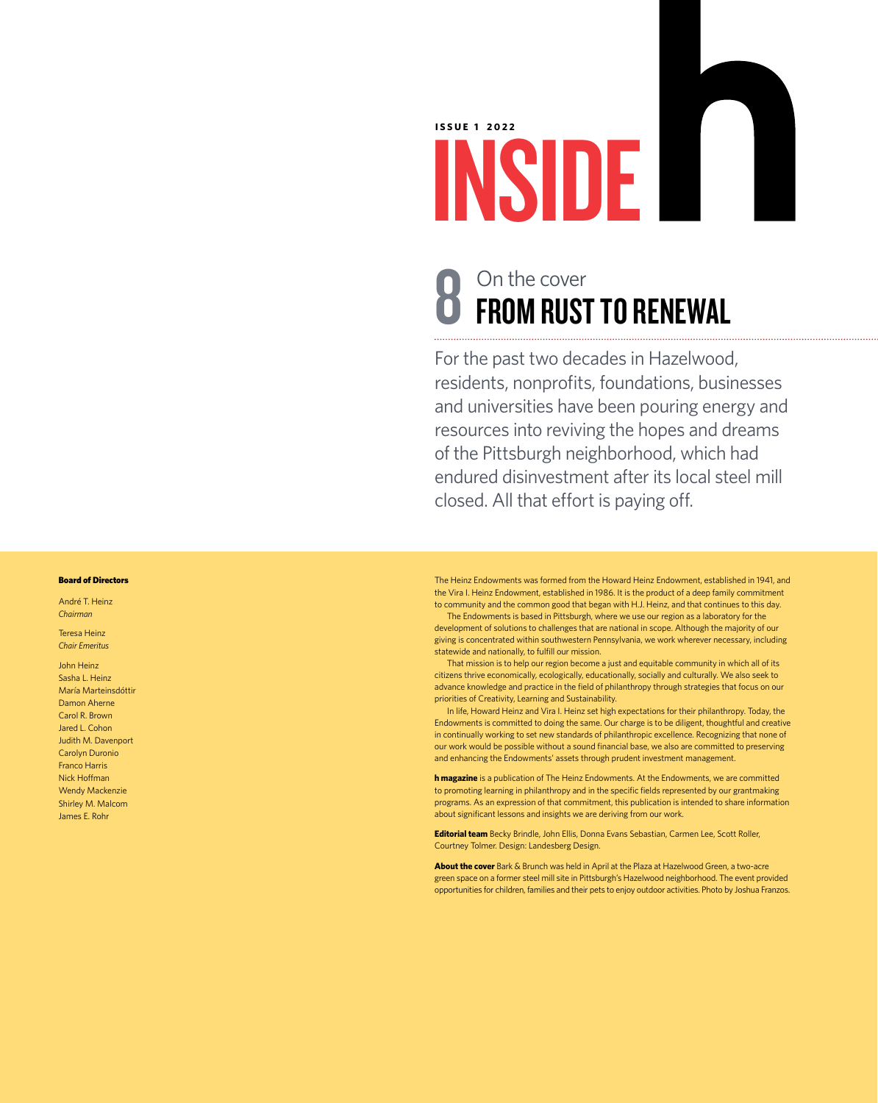**ISSUE 1 2022**

#### **8** On the cover<br> **8** FROM RUST TO RENEWAL On the cover

INSIDE

For the past two decades in Hazelwood, residents, nonprofits, foundations, businesses and universities have been pouring energy and resources into reviving the hopes and dreams of the Pittsburgh neighborhood, which had endured disinvestment after its local steel mill closed. All that effort is paying off.

The Heinz Endowments was formed from the Howard Heinz Endowment, established in 1941, and the Vira I. Heinz Endowment, established in 1986. It is the product of a deep family commitment to community and the common good that began with H.J. Heinz, and that continues to this day.

The Endowments is based in Pittsburgh, where we use our region as a laboratory for the development of solutions to challenges that are national in scope. Although the majority of our giving is concentrated within southwestern Pennsylvania, we work wherever necessary, including state wide and nationally, to fulfill our mission.

That mission is to help our region become a just and equitable community in which all of its citizens thrive economically, ecologically, educationally, socially and culturally. We also seek to advance knowledge and practice in the field of philanthropy through strategies that focus on our priorities of Creativity, Learning and Sustainability.

In life, Howard Heinz and Vira I. Heinz set high expectations for their philanthropy. Today, the Endowments is committed to doing the same. Our charge is to be diligent, thoughtful and creative in continually working to set new standards of philanthropic excellence. Recognizing that none of our work would be possible without a sound financial base, we also are committed to preserving and enhancing the Endowments' assets through prudent investment management.

**h magazine** is a publication of The Heinz Endowments. At the Endowments, we are committed to promoting learning in philanthropy and in the specific fields represented by our grantmaking programs. As an expression of that commitment, this publication is intended to share information about significant lessons and insights we are deriving from our work.

**Editorial team** Becky Brindle, John Ellis, Donna Evans Sebastian, Carmen Lee, Scott Roller, Courtney Tolmer. Design: Landesberg Design.

**About the cover** Bark & Brunch was held in April at the Plaza at Hazelwood Green, a two-acre green space on a former steel mill site in Pittsburgh's Hazelwood neighborhood. The event provided opportunities for children, families and their pets to enjoy outdoor activities. Photo by Joshua Franzos.

#### Board of Directors

André T. Heinz *Chairman*

Teresa Heinz *Chair Emeritus*

John Heinz Sasha L. Heinz María Marteinsdóttir Damon Aherne Carol R. Brown Jared L. Cohon Judith M. Davenport Carolyn Duronio Franco Harris Nick Hoffman Wendy Mackenzie Shirley M. Malcom James E. Rohr